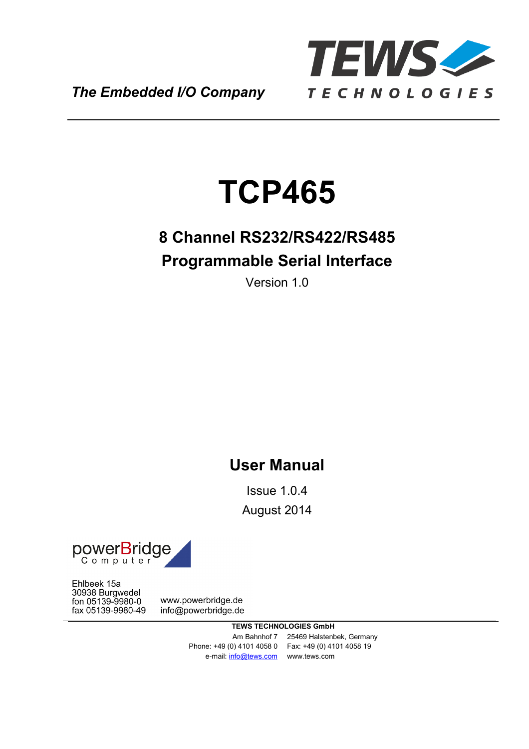

*The Embedded I/O Company*

# **TCP465**

# **8 Channel RS232/RS422/RS485 Programmable Serial Interface**

Version 1.0

# **User Manual**

Issue 1.0.4 August 2014



Ehlbeek 15a 30938 Burgwedel fon 05139-9980-0 fax 05139-9980-49

www.powerbridge.de info@powerbridge.de

> **TEWS TECHNOLOGIES GmbH** Am Bahnhof 7 25469 Halstenbek, Germany Phone: +49 (0) 4101 4058 0 Fax: +49 (0) 4101 4058 19 e-mail: info@tews.com www.tews.com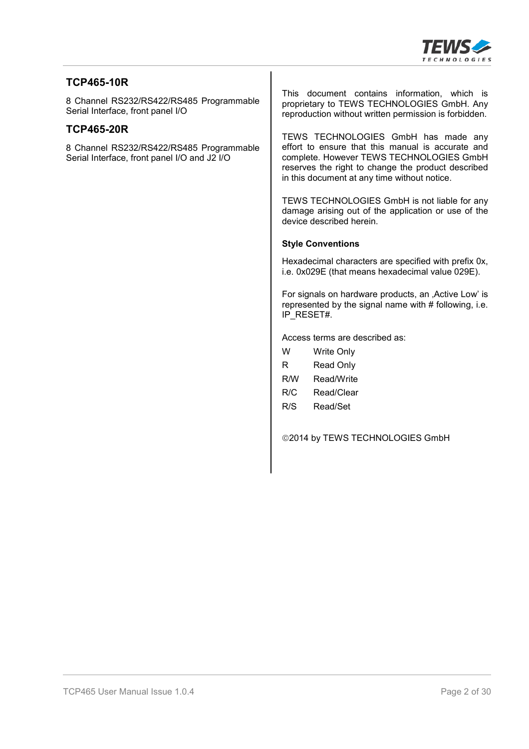

#### **TCP465-10R**

8 Channel RS232/RS422/RS485 Programmable Serial Interface, front panel I/O

#### **TCP465-20R**

8 Channel RS232/RS422/RS485 Programmable Serial Interface, front panel I/O and J2 I/O

This document contains information, which is proprietary to TEWS TECHNOLOGIES GmbH. Any reproduction without written permission is forbidden.

TEWS TECHNOLOGIES GmbH has made any effort to ensure that this manual is accurate and complete. However TEWS TECHNOLOGIES GmbH reserves the right to change the product described in this document at any time without notice.

TEWS TECHNOLOGIES GmbH is not liable for any damage arising out of the application or use of the device described herein.

#### **Style Conventions**

Hexadecimal characters are specified with prefix 0x, i.e. 0x029E (that means hexadecimal value 029E).

For signals on hardware products, an , Active Low' is represented by the signal name with  $#$  following, i.e. IP\_RESET#.

Access terms are described as:

| w   | Write Only       |
|-----|------------------|
| R   | <b>Read Only</b> |
| R/W | Read/Write       |
| R/C | Read/Clear       |
| R/S | Read/Set         |
|     |                  |

©2014 by TEWS TECHNOLOGIES GmbH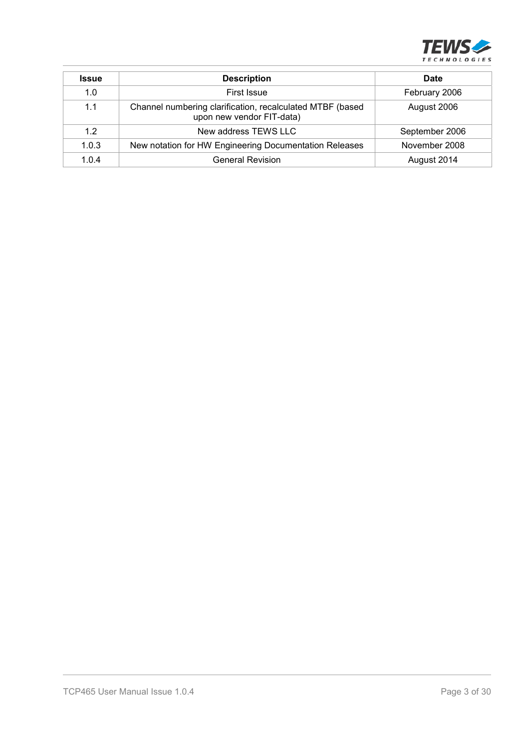

| <b>Issue</b> | <b>Description</b>                                                                     | Date           |
|--------------|----------------------------------------------------------------------------------------|----------------|
| 1.0          | First Issue                                                                            | February 2006  |
| 1.1          | Channel numbering clarification, recalculated MTBF (based<br>upon new vendor FIT-data) | August 2006    |
| 1.2          | New address TEWS LLC                                                                   | September 2006 |
| 1.0.3        | New notation for HW Engineering Documentation Releases                                 | November 2008  |
| 1.0.4        | <b>General Revision</b>                                                                | August 2014    |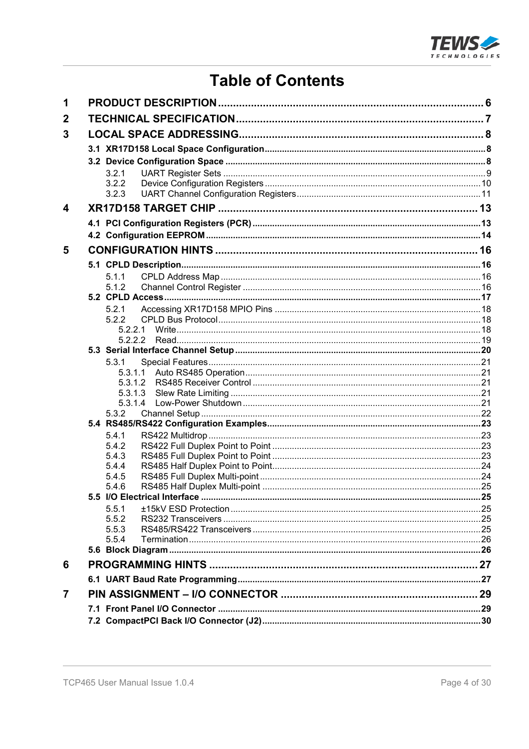

# **Table of Contents**

| 1                       |                |  |
|-------------------------|----------------|--|
| $\mathbf 2$             |                |  |
| 3                       |                |  |
|                         |                |  |
|                         |                |  |
|                         |                |  |
|                         | 3.2.1<br>3.2.2 |  |
|                         | 3.2.3          |  |
| $\overline{\mathbf{4}}$ |                |  |
|                         |                |  |
|                         |                |  |
|                         |                |  |
| 5                       |                |  |
|                         |                |  |
|                         | 5.1.1          |  |
|                         | 5.1.2          |  |
|                         |                |  |
|                         | 5.2.1          |  |
|                         | 5.2.2          |  |
|                         |                |  |
|                         |                |  |
|                         | 5.3.1          |  |
|                         | 5.3.1.1        |  |
|                         | 5.3.1.2        |  |
|                         | 5.3.1.3        |  |
|                         | 5.3.1.4        |  |
|                         | 5.3.2          |  |
|                         |                |  |
|                         | 5.4.1          |  |
|                         | 5.4.2          |  |
|                         | 5.4.3          |  |
|                         | 5.4.4          |  |
|                         | 5.4.5          |  |
|                         | 5.4.6          |  |
|                         | 5.5.1          |  |
|                         | 5.5.2          |  |
|                         | 5.5.3          |  |
|                         | 5.5.4          |  |
|                         |                |  |
| 6                       |                |  |
|                         |                |  |
| $\overline{7}$          |                |  |
|                         |                |  |
|                         |                |  |
|                         |                |  |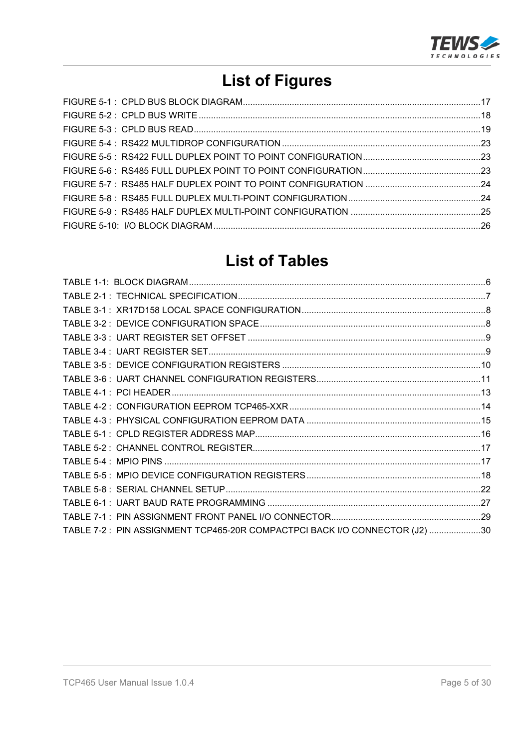

# **List of Figures**

## **List of Tables**

| TABLE 7-2: PIN ASSIGNMENT TCP465-20R COMPACTPCI BACK I/O CONNECTOR (J2) 30 |  |
|----------------------------------------------------------------------------|--|
|                                                                            |  |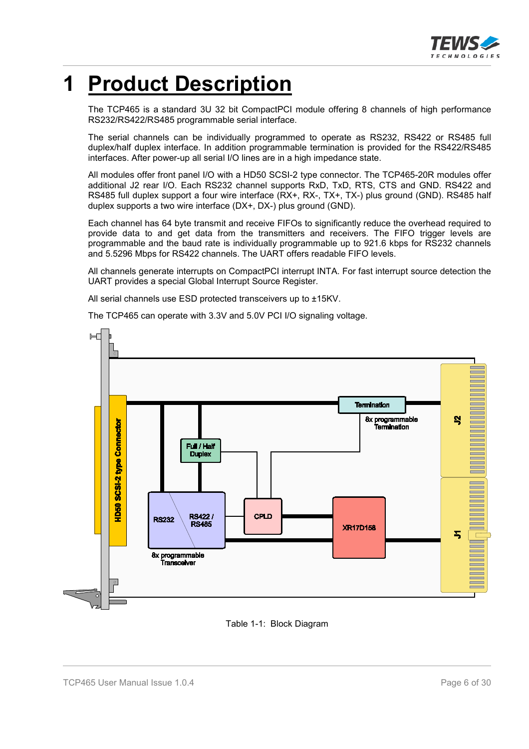

# **1 Product Description**

The TCP465 is a standard 3U 32 bit CompactPCI module offering 8 channels of high performance RS232/RS422/RS485 programmable serial interface.

The serial channels can be individually programmed to operate as RS232, RS422 or RS485 full duplex/half duplex interface. In addition programmable termination is provided for the RS422/RS485 interfaces. After power-up all serial I/O lines are in a high impedance state.

All modules offer front panel I/O with a HD50 SCSI-2 type connector. The TCP465-20R modules offer additional J2 rear I/O. Each RS232 channel supports RxD, TxD, RTS, CTS and GND. RS422 and RS485 full duplex support a four wire interface (RX+, RX-, TX+, TX-) plus ground (GND). RS485 half duplex supports a two wire interface (DX+, DX-) plus ground (GND).

Each channel has 64 byte transmit and receive FIFOs to significantly reduce the overhead required to provide data to and get data from the transmitters and receivers. The FIFO trigger levels are programmable and the baud rate is individually programmable up to 921.6 kbps for RS232 channels and 5.5296 Mbps for RS422 channels. The UART offers readable FIFO levels.

All channels generate interrupts on CompactPCI interrupt INTA. For fast interrupt source detection the UART provides a special Global Interrupt Source Register.

All serial channels use ESD protected transceivers up to ±15KV.

The TCP465 can operate with 3.3V and 5.0V PCI I/O signaling voltage.



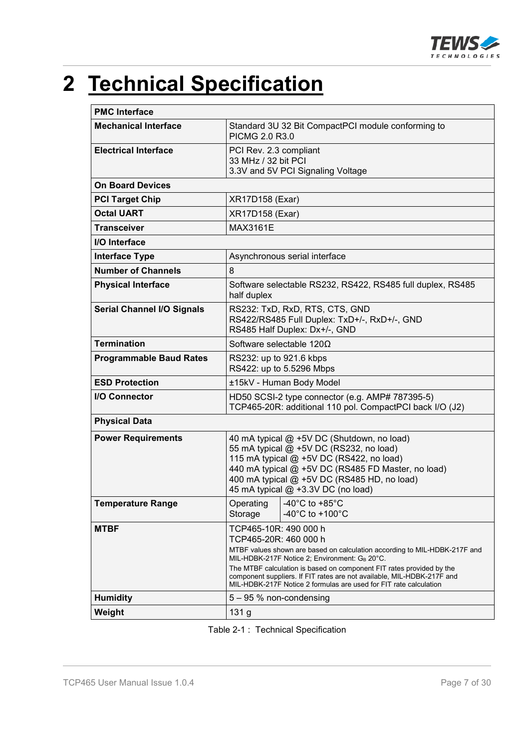

# **2 Technical Specification**

| <b>PMC Interface</b>              |                                                                                                                                                                                                                                                                                                                                                                                                     |                                                                     |  |
|-----------------------------------|-----------------------------------------------------------------------------------------------------------------------------------------------------------------------------------------------------------------------------------------------------------------------------------------------------------------------------------------------------------------------------------------------------|---------------------------------------------------------------------|--|
| <b>Mechanical Interface</b>       | PICMG 2.0 R3.0                                                                                                                                                                                                                                                                                                                                                                                      | Standard 3U 32 Bit CompactPCI module conforming to                  |  |
| <b>Electrical Interface</b>       | PCI Rev. 2.3 compliant<br>33 MHz / 32 bit PCI<br>3.3V and 5V PCI Signaling Voltage                                                                                                                                                                                                                                                                                                                  |                                                                     |  |
| <b>On Board Devices</b>           |                                                                                                                                                                                                                                                                                                                                                                                                     |                                                                     |  |
| <b>PCI Target Chip</b>            | <b>XR17D158 (Exar)</b>                                                                                                                                                                                                                                                                                                                                                                              |                                                                     |  |
| <b>Octal UART</b>                 | <b>XR17D158 (Exar)</b>                                                                                                                                                                                                                                                                                                                                                                              |                                                                     |  |
| <b>Transceiver</b>                | <b>MAX3161E</b>                                                                                                                                                                                                                                                                                                                                                                                     |                                                                     |  |
| I/O Interface                     |                                                                                                                                                                                                                                                                                                                                                                                                     |                                                                     |  |
| <b>Interface Type</b>             |                                                                                                                                                                                                                                                                                                                                                                                                     | Asynchronous serial interface                                       |  |
| <b>Number of Channels</b>         | 8                                                                                                                                                                                                                                                                                                                                                                                                   |                                                                     |  |
| <b>Physical Interface</b>         | Software selectable RS232, RS422, RS485 full duplex, RS485<br>half duplex                                                                                                                                                                                                                                                                                                                           |                                                                     |  |
| <b>Serial Channel I/O Signals</b> | RS232: TxD, RxD, RTS, CTS, GND<br>RS422/RS485 Full Duplex: TxD+/-, RxD+/-, GND<br>RS485 Half Duplex: Dx+/-, GND                                                                                                                                                                                                                                                                                     |                                                                     |  |
| <b>Termination</b>                |                                                                                                                                                                                                                                                                                                                                                                                                     | Software selectable $120\Omega$                                     |  |
| <b>Programmable Baud Rates</b>    | RS232: up to 921.6 kbps                                                                                                                                                                                                                                                                                                                                                                             | RS422: up to 5.5296 Mbps                                            |  |
| <b>ESD Protection</b>             |                                                                                                                                                                                                                                                                                                                                                                                                     | ±15kV - Human Body Model                                            |  |
| <b>I/O Connector</b>              | HD50 SCSI-2 type connector (e.g. AMP# 787395-5)<br>TCP465-20R: additional 110 pol. CompactPCI back I/O (J2)                                                                                                                                                                                                                                                                                         |                                                                     |  |
| <b>Physical Data</b>              |                                                                                                                                                                                                                                                                                                                                                                                                     |                                                                     |  |
| <b>Power Requirements</b>         | 40 mA typical @ +5V DC (Shutdown, no load)<br>55 mA typical @ +5V DC (RS232, no load)<br>115 mA typical @ +5V DC (RS422, no load)<br>440 mA typical @ +5V DC (RS485 FD Master, no load)<br>400 mA typical @ +5V DC (RS485 HD, no load)<br>45 mA typical @ +3.3V DC (no load)                                                                                                                        |                                                                     |  |
| <b>Temperature Range</b>          | Storage                                                                                                                                                                                                                                                                                                                                                                                             | Operating   -40°C to +85°C<br>-40 $^{\circ}$ C to +100 $^{\circ}$ C |  |
| <b>MTBF</b>                       | TCP465-10R: 490 000 h<br>TCP465-20R: 460 000 h<br>MTBF values shown are based on calculation according to MIL-HDBK-217F and<br>MIL-HDBK-217F Notice 2; Environment: GB 20°C.<br>The MTBF calculation is based on component FIT rates provided by the<br>component suppliers. If FIT rates are not available, MIL-HDBK-217F and<br>MIL-HDBK-217F Notice 2 formulas are used for FIT rate calculation |                                                                     |  |
| <b>Humidity</b>                   | $5 - 95$ % non-condensing                                                                                                                                                                                                                                                                                                                                                                           |                                                                     |  |
| Weight                            | 131 g                                                                                                                                                                                                                                                                                                                                                                                               |                                                                     |  |

|  |  | Table 2-1 : Technical Specification |
|--|--|-------------------------------------|
|--|--|-------------------------------------|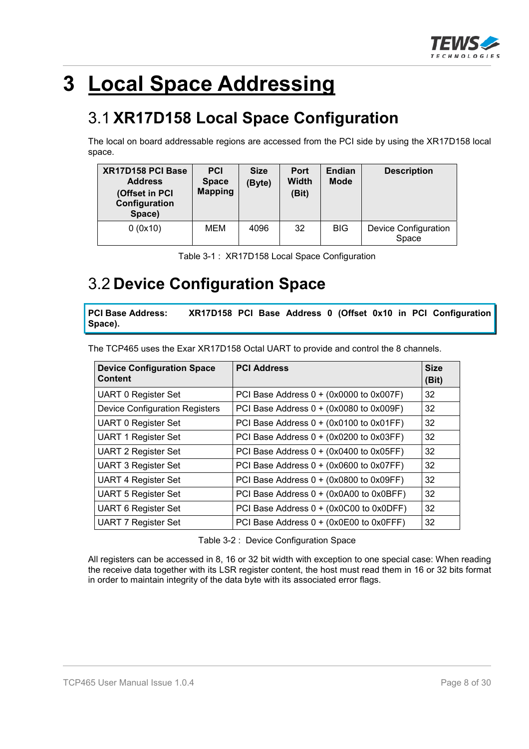

# **3 Local Space Addressing**

# 3.1 **XR17D158 Local Space Configuration**

The local on board addressable regions are accessed from the PCI side by using the XR17D158 local space.

| XR17D158 PCI Base<br><b>Address</b><br>(Offset in PCI<br>Configuration<br>Space) | <b>PCI</b><br><b>Space</b><br><b>Mapping</b> | <b>Size</b><br>(Byte) | <b>Port</b><br>Width<br>(Bit) | <b>Endian</b><br><b>Mode</b> | <b>Description</b>                   |
|----------------------------------------------------------------------------------|----------------------------------------------|-----------------------|-------------------------------|------------------------------|--------------------------------------|
| 0(0x10)                                                                          | MEM                                          | 4096                  | 32                            | <b>BIG</b>                   | <b>Device Configuration</b><br>Space |

| Table 3-1: XR17D158 Local Space Configuration |
|-----------------------------------------------|
|-----------------------------------------------|

## 3.2 **Device Configuration Space**

**PCI Base Address: XR17D158 PCI Base Address 0 (Offset 0x10 in PCI Configuration Space).**

The TCP465 uses the Exar XR17D158 Octal UART to provide and control the 8 channels.

| <b>Device Configuration Space</b><br><b>Content</b> | <b>PCI Address</b>                      | <b>Size</b><br>(Bit) |
|-----------------------------------------------------|-----------------------------------------|----------------------|
| <b>UART 0 Register Set</b>                          | PCI Base Address 0 + (0x0000 to 0x007F) | 32                   |
| <b>Device Configuration Registers</b>               | PCI Base Address 0 + (0x0080 to 0x009F) | 32                   |
| <b>UART 0 Register Set</b>                          | PCI Base Address 0 + (0x0100 to 0x01FF) | 32                   |
| <b>UART 1 Register Set</b>                          | PCI Base Address 0 + (0x0200 to 0x03FF) | 32                   |
| <b>UART 2 Register Set</b>                          | PCI Base Address 0 + (0x0400 to 0x05FF) | 32                   |
| <b>UART 3 Register Set</b>                          | PCI Base Address 0 + (0x0600 to 0x07FF) | 32                   |
| <b>UART 4 Register Set</b>                          | PCI Base Address 0 + (0x0800 to 0x09FF) | 32                   |
| <b>UART 5 Register Set</b>                          | PCI Base Address 0 + (0x0A00 to 0x0BFF) | 32                   |
| <b>UART 6 Register Set</b>                          | PCI Base Address 0 + (0x0C00 to 0x0DFF) | 32                   |
| <b>UART 7 Register Set</b>                          | PCI Base Address 0 + (0x0E00 to 0x0FFF) | 32                   |

Table 3-2 : Device Configuration Space

All registers can be accessed in 8, 16 or 32 bit width with exception to one special case: When reading the receive data together with its LSR register content, the host must read them in 16 or 32 bits format in order to maintain integrity of the data byte with its associated error flags.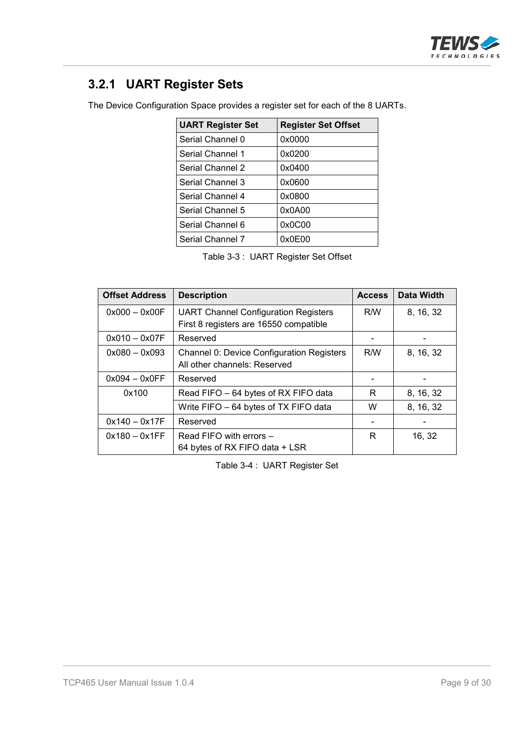

### **3.2.1 UART Register Sets**

The Device Configuration Space provides a register set for each of the 8 UARTs.

| <b>UART Register Set</b> | <b>Register Set Offset</b> |
|--------------------------|----------------------------|
| Serial Channel 0         | 0x0000                     |
| Serial Channel 1         | 0x0200                     |
| Serial Channel 2         | 0x0400                     |
| Serial Channel 3         | 0x0600                     |
| Serial Channel 4         | 0x0800                     |
| Serial Channel 5         | 0x0A00                     |
| Serial Channel 6         | 0x0C00                     |
| Serial Channel 7         | 0x0E00                     |

Table 3-3 : UART Register Set Offset

| <b>Offset Address</b> | <b>Description</b>                               | <b>Access</b> | Data Width |
|-----------------------|--------------------------------------------------|---------------|------------|
| $0x000 - 0x00F$       | <b>UART Channel Configuration Registers</b>      | R/W           | 8, 16, 32  |
|                       | First 8 registers are 16550 compatible           |               |            |
| $0x010 - 0x07F$       | Reserved                                         |               |            |
| $0x080 - 0x093$       | <b>Channel 0: Device Configuration Registers</b> | R/W           | 8, 16, 32  |
|                       | All other channels: Reserved                     |               |            |
| $0x094 - 0x0FF$       | Reserved                                         |               |            |
| 0x100                 | Read FIFO - 64 bytes of RX FIFO data             | R             | 8, 16, 32  |
|                       | Write FIFO - 64 bytes of TX FIFO data            | W             | 8, 16, 32  |
| $0x140 - 0x17F$       | Reserved                                         |               |            |
| $0x180 - 0x1FF$       | Read FIFO with errors -                          | R             | 16, 32     |
|                       | 64 bytes of RX FIFO data + LSR                   |               |            |

Table 3-4 : UART Register Set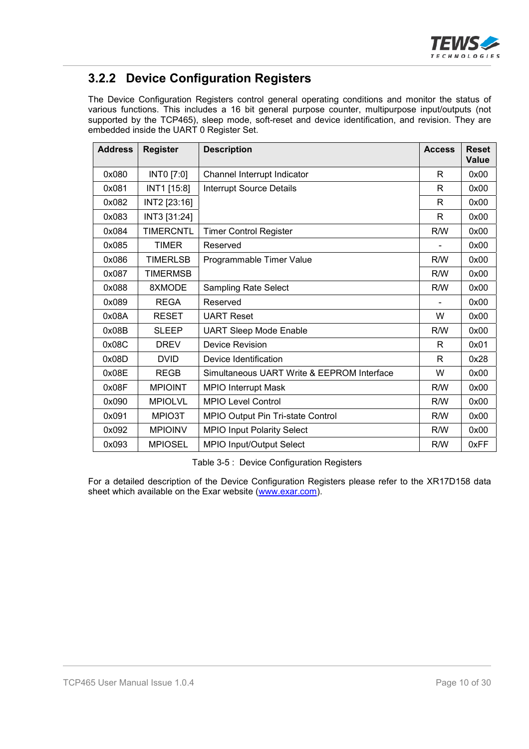

### **3.2.2 Device Configuration Registers**

The Device Configuration Registers control general operating conditions and monitor the status of various functions. This includes a 16 bit general purpose counter, multipurpose input/outputs (not supported by the TCP465), sleep mode, soft-reset and device identification, and revision. They are embedded inside the UART 0 Register Set.

| <b>Address</b> | <b>Register</b>  | <b>Description</b><br><b>Access</b>        |     | <b>Reset</b><br>Value |
|----------------|------------------|--------------------------------------------|-----|-----------------------|
| 0x080          | INTO [7:0]       | Channel Interrupt Indicator                | R   | 0x00                  |
| 0x081          | INT1 [15:8]      | Interrupt Source Details                   | R   | 0x00                  |
| 0x082          | INT2 [23:16]     |                                            | R   | 0x00                  |
| 0x083          | INT3 [31:24]     |                                            | R   | 0x00                  |
| 0x084          | <b>TIMERCNTL</b> | <b>Timer Control Register</b>              | R/W | 0x00                  |
| 0x085          | <b>TIMER</b>     | Reserved                                   |     | 0x00                  |
| 0x086          | <b>TIMERLSB</b>  | Programmable Timer Value                   | R/W | 0x00                  |
| 0x087          | <b>TIMERMSB</b>  |                                            | R/W | 0x00                  |
| 0x088          | 8XMODE           | <b>Sampling Rate Select</b>                | R/W | 0x00                  |
| 0x089          | <b>REGA</b>      | Reserved                                   |     | 0x00                  |
| 0x08A          | <b>RESET</b>     | <b>UART Reset</b>                          | W   | 0x00                  |
| 0x08B          | <b>SLEEP</b>     | <b>UART Sleep Mode Enable</b>              | R/W | 0x00                  |
| 0x08C          | <b>DREV</b>      | <b>Device Revision</b>                     | R   | 0x01                  |
| 0x08D          | <b>DVID</b>      | Device Identification                      | R   | 0x28                  |
| 0x08E          | <b>REGB</b>      | Simultaneous UART Write & EEPROM Interface | W   | 0x00                  |
| 0x08F          | <b>MPIOINT</b>   | <b>MPIO Interrupt Mask</b>                 | R/W | 0x00                  |
| 0x090          | <b>MPIOLVL</b>   | <b>MPIO Level Control</b>                  | R/W | 0x00                  |
| 0x091          | MPIO3T           | MPIO Output Pin Tri-state Control          | R/W | 0x00                  |
| 0x092          | <b>MPIOINV</b>   | <b>MPIO Input Polarity Select</b>          | R/W | 0x00                  |
| 0x093          | <b>MPIOSEL</b>   | MPIO Input/Output Select                   | R/W | 0xFF                  |

Table 3-5 : Device Configuration Registers

For a detailed description of the Device Configuration Registers please refer to the XR17D158 data sheet which available on the Exar website (www.exar.com).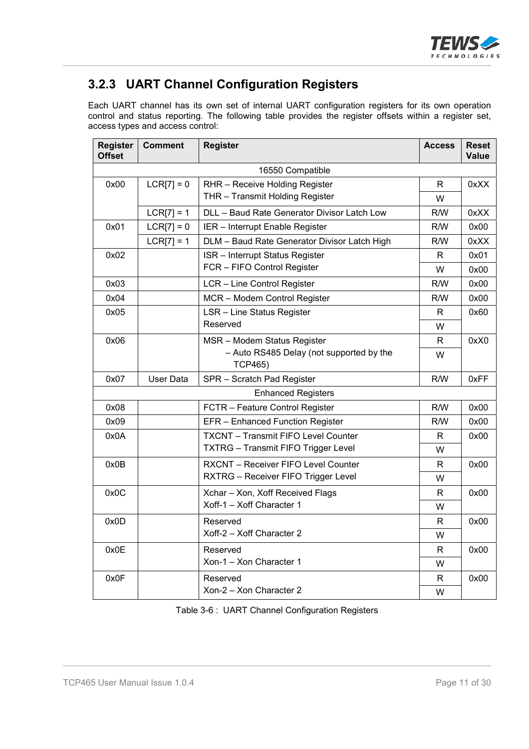

### **3.2.3 UART Channel Configuration Registers**

Each UART channel has its own set of internal UART configuration registers for its own operation control and status reporting. The following table provides the register offsets within a register set, access types and access control:

| <b>Register</b><br><b>Offset</b> | <b>Comment</b>   | <b>Register</b>                                            | <b>Access</b> | <b>Reset</b><br><b>Value</b> |
|----------------------------------|------------------|------------------------------------------------------------|---------------|------------------------------|
|                                  |                  | 16550 Compatible                                           |               |                              |
| 0x00                             | $LCR[7] = 0$     | RHR - Receive Holding Register                             | R             | 0xXX                         |
|                                  |                  | THR - Transmit Holding Register                            | W             |                              |
|                                  | $LCR[7] = 1$     | DLL - Baud Rate Generator Divisor Latch Low                | R/W           | 0xXX                         |
| 0x01                             | $LCRI7 = 0$      | IER - Interrupt Enable Register                            | R/W           | 0x00                         |
|                                  | $LCR[7] = 1$     | DLM - Baud Rate Generator Divisor Latch High               | R/W           | 0xXX                         |
| 0x02                             |                  | <b>ISR</b> - Interrupt Status Register                     | R             | 0x01                         |
|                                  |                  | FCR - FIFO Control Register                                | W             | 0x00                         |
| 0x03                             |                  | LCR - Line Control Register                                | R/W           | 0x00                         |
| 0x04                             |                  | MCR - Modem Control Register                               | R/W           | 0x00                         |
| 0x05                             |                  | <b>LSR - Line Status Register</b>                          | R             | 0x60                         |
|                                  |                  | Reserved                                                   | W             |                              |
| 0x06                             |                  | MSR - Modem Status Register                                | R             | 0xX0                         |
|                                  |                  | - Auto RS485 Delay (not supported by the<br><b>TCP465)</b> | W             |                              |
| 0x07                             | <b>User Data</b> | SPR - Scratch Pad Register                                 | R/W           | 0xFF                         |
|                                  |                  | <b>Enhanced Registers</b>                                  |               |                              |
| 0x08                             |                  | FCTR - Feature Control Register                            | R/W           | 0x00                         |
| 0x09                             |                  | EFR - Enhanced Function Register                           | R/W           | 0x00                         |
| 0x0A                             |                  | <b>TXCNT - Transmit FIFO Level Counter</b>                 | R             | 0x00                         |
|                                  |                  | <b>TXTRG</b> - Transmit FIFO Trigger Level                 | W             |                              |
| 0x0B                             |                  | <b>RXCNT</b> – Receiver FIFO Level Counter                 | R             | 0x00                         |
|                                  |                  | RXTRG - Receiver FIFO Trigger Level                        | W             |                              |
| 0x0C                             |                  | Xchar - Xon, Xoff Received Flags                           | R             | 0x00                         |
|                                  |                  | Xoff-1 - Xoff Character 1                                  | W             |                              |
| 0x0D                             |                  | Reserved                                                   | R             | 0x00                         |
|                                  |                  | Xoff-2 - Xoff Character 2                                  | W             |                              |
| 0x0E                             |                  | Reserved                                                   | R             | 0x00                         |
|                                  |                  | Xon-1 - Xon Character 1                                    | W             |                              |
| 0x0F                             |                  | Reserved                                                   | R             | 0x00                         |
|                                  |                  | Xon-2 - Xon Character 2                                    | W             |                              |

Table 3-6 : UART Channel Configuration Registers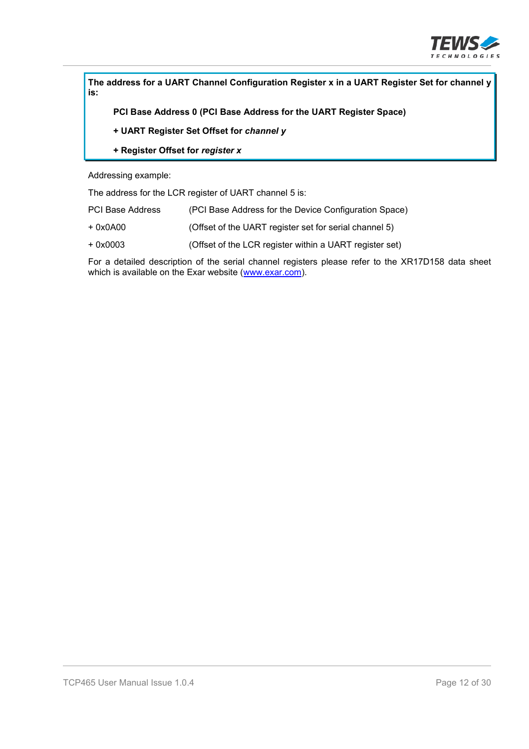

**The address for a UART Channel Configuration Register x in a UART Register Set for channel y is:**

**PCI Base Address 0 (PCI Base Address for the UART Register Space)**

- **+ UART Register Set Offset for** *channel y*
- **+ Register Offset for** *register x*

Addressing example:

The address for the LCR register of UART channel 5 is:

| <b>PCI Base Address</b> | (PCI Base Address for the Device Configuration Space) |  |
|-------------------------|-------------------------------------------------------|--|
|                         |                                                       |  |

- + 0x0A00 (Offset of the UART register set for serial channel 5)
- + 0x0003 (Offset of the LCR register within a UART register set)

For a detailed description of the serial channel registers please refer to the XR17D158 data sheet which is available on the Exar website (www.exar.com).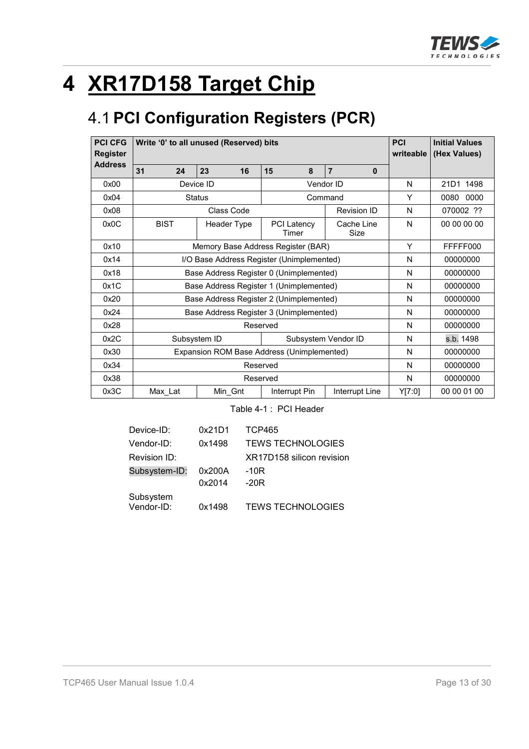

# **4 XR17D158 Target Chip**

# 4.1 **PCI Configuration Registers (PCR)**

| <b>PCI CFG</b><br>Write '0' to all unused (Reserved) bits<br><b>Register</b> |                                            |                                         |                      |                                |          | <b>Initial Values</b><br>writeable<br>(Hex Values) |
|------------------------------------------------------------------------------|--------------------------------------------|-----------------------------------------|----------------------|--------------------------------|----------|----------------------------------------------------|
| <b>Address</b>                                                               | 31<br>24                                   | 23<br>16                                | 15<br>8              | $\overline{7}$<br>$\mathbf{0}$ |          |                                                    |
| 0x00                                                                         |                                            | Device ID                               |                      | Vendor ID                      | N        | 21D1 1498                                          |
| 0x04                                                                         |                                            | <b>Status</b>                           |                      | Command                        | Y        | 0000<br>0080                                       |
| 0x08                                                                         |                                            | Class Code                              |                      | <b>Revision ID</b>             | N        | 070002 ??                                          |
| 0x0C                                                                         | <b>BIST</b>                                | Header Type                             | PCI Latency<br>Timer | Cache Line<br>Size             | N        | 00 00 00 00                                        |
| 0x10                                                                         | Memory Base Address Register (BAR)         |                                         |                      |                                | Y        | FFFFF000                                           |
| 0x14                                                                         | I/O Base Address Register (Unimplemented)  |                                         |                      |                                | N        | 00000000                                           |
| 0x18                                                                         |                                            | Base Address Register 0 (Unimplemented) |                      |                                | N        | 00000000                                           |
| 0x1C                                                                         |                                            | Base Address Register 1 (Unimplemented) |                      |                                | N        | 00000000                                           |
| 0x20                                                                         |                                            | Base Address Register 2 (Unimplemented) |                      |                                | N        | 00000000                                           |
| 0x24                                                                         |                                            | Base Address Register 3 (Unimplemented) |                      |                                | N        | 00000000                                           |
| 0x28                                                                         | Reserved                                   |                                         |                      |                                | N        | 00000000                                           |
| 0x2C                                                                         |                                            | Subsystem ID                            |                      | Subsystem Vendor ID            | N        | s.b. 1498                                          |
| 0x30                                                                         | Expansion ROM Base Address (Unimplemented) |                                         |                      | N                              | 00000000 |                                                    |
| 0x34                                                                         | Reserved                                   |                                         |                      | N                              | 00000000 |                                                    |
| 0x38                                                                         | Reserved                                   |                                         |                      | N                              | 00000000 |                                                    |
| 0x3C                                                                         | Max_Lat                                    | Min_Gnt                                 | Interrupt Pin        | Interrupt Line                 | Y[7:0]   | 00 00 01 00                                        |

Table 4-1 : PCI Header

| Device-ID:              | 0x21D1 | <b>TCP465</b>             |
|-------------------------|--------|---------------------------|
| Vendor-ID:              | 0x1498 | <b>TEWS TECHNOLOGIES</b>  |
| Revision ID:            |        | XR17D158 silicon revision |
| Subsystem-ID:           | 0x200A | $-10R$                    |
|                         | 0x2014 | $-20R$                    |
| Subsystem<br>Vendor-ID: | 0x1498 | <b>TEWS TECHNOLOGIES</b>  |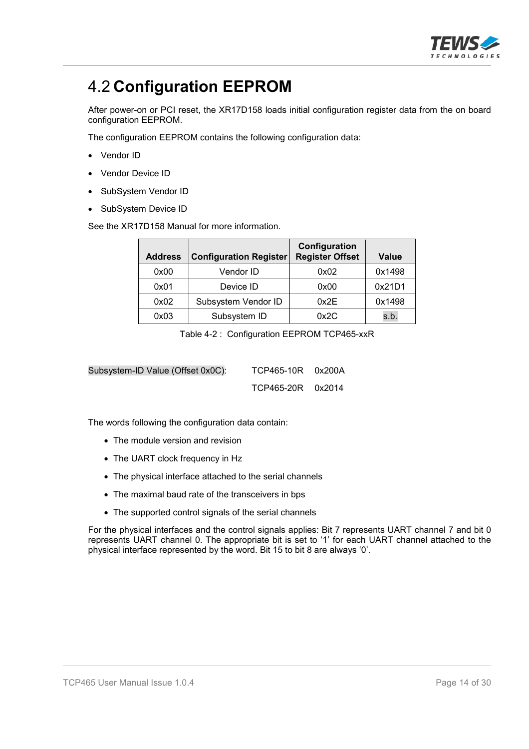

# 4.2 **Configuration EEPROM**

After power-on or PCI reset, the XR17D158 loads initial configuration register data from the on board configuration EEPROM.

The configuration EEPROM contains the following configuration data:

- Vendor ID
- Vendor Device ID
- SubSystem Vendor ID
- SubSystem Device ID

See the XR17D158 Manual for more information.

| <b>Address</b> | <b>Configuration Register</b> | Configuration<br><b>Register Offset</b> | <b>Value</b> |
|----------------|-------------------------------|-----------------------------------------|--------------|
| 0x00           | Vendor ID                     | 0x02                                    | 0x1498       |
| 0x01           | Device ID                     | 0x00                                    | 0x21D1       |
| 0x02           | Subsystem Vendor ID           | 0x2E                                    | 0x1498       |
| 0x03           | Subsystem ID                  | 0x2C                                    | s.b.         |

Table 4-2 : Configuration EEPROM TCP465-xxR

| Subsystem-ID Value (Offset 0x0C): | TCP465-10R 0x200A |  |
|-----------------------------------|-------------------|--|
|                                   | TCP465-20R 0x2014 |  |

The words following the configuration data contain:

- The module version and revision
- The UART clock frequency in Hz
- The physical interface attached to the serial channels
- The maximal baud rate of the transceivers in bps
- The supported control signals of the serial channels

For the physical interfaces and the control signals applies: Bit 7 represents UART channel 7 and bit 0 represents UART channel 0. The appropriate bit is set to '1' for each UART channel attached to the physical interface represented by the word. Bit 15 to bit 8 are always '0'.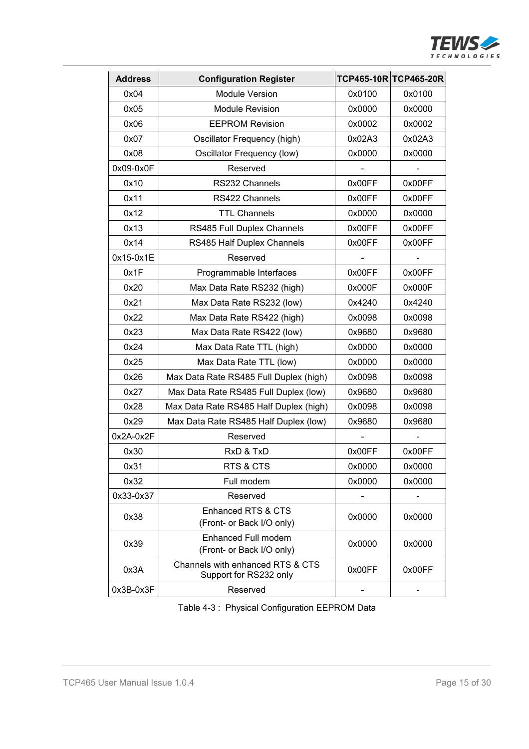

| <b>Address</b> | <b>Configuration Register</b>                              |        | TCP465-10R TCP465-20R |
|----------------|------------------------------------------------------------|--------|-----------------------|
| 0x04           | <b>Module Version</b>                                      | 0x0100 | 0x0100                |
| 0x05           | <b>Module Revision</b>                                     | 0x0000 | 0x0000                |
| 0x06           | <b>EEPROM Revision</b>                                     | 0x0002 | 0x0002                |
| 0x07           | Oscillator Frequency (high)                                | 0x02A3 | 0x02A3                |
| 0x08           | Oscillator Frequency (low)                                 | 0x0000 | 0x0000                |
| 0x09-0x0F      | Reserved                                                   |        |                       |
| 0x10           | RS232 Channels                                             | 0x00FF | 0x00FF                |
| 0x11           | RS422 Channels                                             | 0x00FF | 0x00FF                |
| 0x12           | <b>TTL Channels</b>                                        | 0x0000 | 0x0000                |
| 0x13           | RS485 Full Duplex Channels                                 | 0x00FF | 0x00FF                |
| 0x14           | RS485 Half Duplex Channels                                 | 0x00FF | 0x00FF                |
| 0x15-0x1E      | Reserved                                                   |        |                       |
| 0x1F           | Programmable Interfaces                                    | 0x00FF | 0x00FF                |
| 0x20           | Max Data Rate RS232 (high)                                 | 0x000F | 0x000F                |
| 0x21           | Max Data Rate RS232 (low)                                  | 0x4240 | 0x4240                |
| 0x22           | Max Data Rate RS422 (high)                                 | 0x0098 | 0x0098                |
| 0x23           | Max Data Rate RS422 (low)                                  | 0x9680 | 0x9680                |
| 0x24           | Max Data Rate TTL (high)                                   | 0x0000 | 0x0000                |
| 0x25           | Max Data Rate TTL (low)                                    | 0x0000 | 0x0000                |
| 0x26           | Max Data Rate RS485 Full Duplex (high)                     | 0x0098 | 0x0098                |
| 0x27           | Max Data Rate RS485 Full Duplex (low)                      | 0x9680 | 0x9680                |
| 0x28           | Max Data Rate RS485 Half Duplex (high)                     | 0x0098 | 0x0098                |
| 0x29           | Max Data Rate RS485 Half Duplex (low)                      | 0x9680 | 0x9680                |
| 0x2A-0x2F      | Reserved                                                   |        |                       |
| 0x30           | RxD & TxD                                                  | 0x00FF | 0x00FF                |
| 0x31           | RTS & CTS                                                  | 0x0000 | 0x0000                |
| 0x32           | Full modem                                                 | 0x0000 | 0x0000                |
| 0x33-0x37      | Reserved                                                   |        |                       |
| 0x38           | Enhanced RTS & CTS<br>(Front- or Back I/O only)            | 0x0000 | 0x0000                |
| 0x39           | Enhanced Full modem<br>(Front- or Back I/O only)           | 0x0000 | 0x0000                |
| 0x3A           | Channels with enhanced RTS & CTS<br>Support for RS232 only | 0x00FF | 0x00FF                |
| 0x3B-0x3F      | Reserved                                                   |        |                       |

Table 4-3 : Physical Configuration EEPROM Data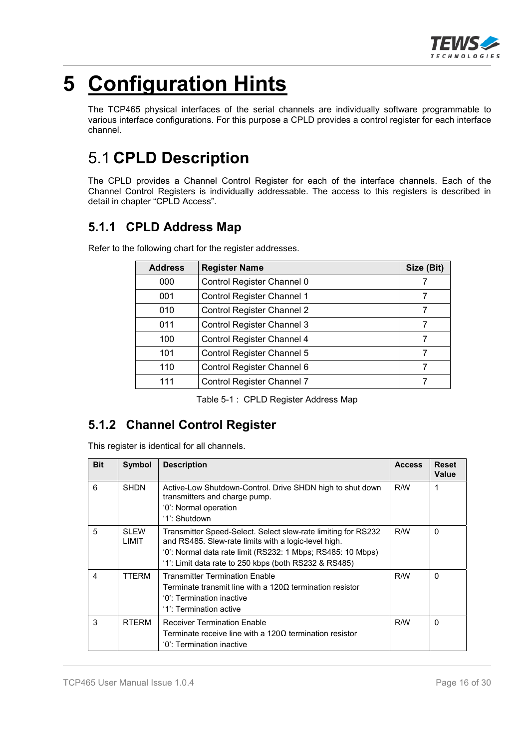

# **5 Configuration Hints**

The TCP465 physical interfaces of the serial channels are individually software programmable to various interface configurations. For this purpose a CPLD provides a control register for each interface channel.

# 5.1 **CPLD Description**

The CPLD provides a Channel Control Register for each of the interface channels. Each of the Channel Control Registers is individually addressable. The access to this registers is described in detail in chapter "CPLD Access".

### **5.1.1 CPLD Address Map**

| <b>Address</b> | <b>Register Name</b>              | Size (Bit) |
|----------------|-----------------------------------|------------|
| 000            | Control Register Channel 0        |            |
| 001            | Control Register Channel 1        |            |
| 010            | <b>Control Register Channel 2</b> | 7          |
| 011            | Control Register Channel 3        |            |
| 100            | Control Register Channel 4        | 7          |
| 101            | Control Register Channel 5        | 7          |
| 110            | Control Register Channel 6        |            |
| 111            | Control Register Channel 7        |            |

Refer to the following chart for the register addresses.

Table 5-1 : CPLD Register Address Map

### **5.1.2 Channel Control Register**

This register is identical for all channels.

| <b>Bit</b> | Symbol         | <b>Description</b>                                                                                                                                                                                                                            | <b>Access</b> | <b>Reset</b><br>Value |
|------------|----------------|-----------------------------------------------------------------------------------------------------------------------------------------------------------------------------------------------------------------------------------------------|---------------|-----------------------|
| 6          | <b>SHDN</b>    | Active-Low Shutdown-Control. Drive SHDN high to shut down<br>transmitters and charge pump.<br>'0': Normal operation<br>'1': Shutdown                                                                                                          | R/W           | 1                     |
| 5          | SI FW<br>LIMIT | Transmitter Speed-Select. Select slew-rate limiting for RS232<br>and RS485. Slew-rate limits with a logic-level high.<br>'0': Normal data rate limit (RS232: 1 Mbps; RS485: 10 Mbps)<br>'1': Limit data rate to 250 kbps (both RS232 & RS485) | R/W           | $\Omega$              |
| 4          | <b>TTERM</b>   | <b>Transmitter Termination Enable</b><br>Terminate transmit line with a 120 $\Omega$ termination resistor<br>'0': Termination inactive<br>'1': Termination active                                                                             | R/W           | $\Omega$              |
| 3          | <b>RTFRM</b>   | <b>Receiver Termination Enable</b><br>Terminate receive line with a 120 $\Omega$ termination resistor<br>'0': Termination inactive                                                                                                            | R/W           | $\Omega$              |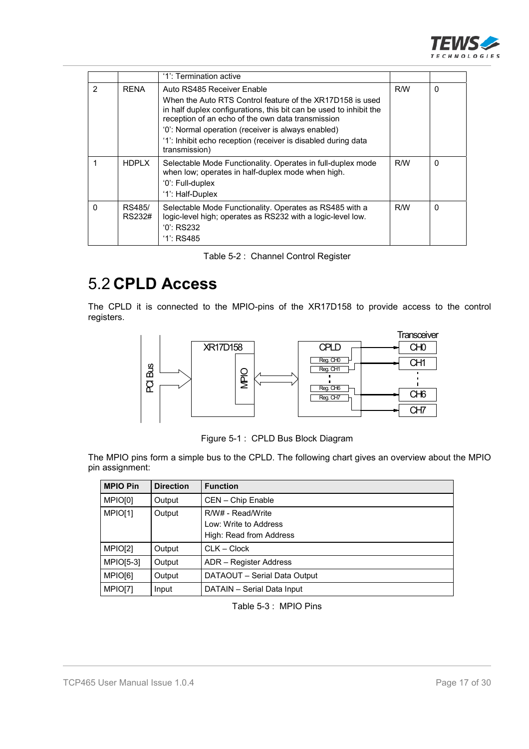

|               |                  | '1': Termination active                                                                                                                                                                                                                                                                                                                   |     |          |
|---------------|------------------|-------------------------------------------------------------------------------------------------------------------------------------------------------------------------------------------------------------------------------------------------------------------------------------------------------------------------------------------|-----|----------|
| $\mathcal{P}$ | <b>RFNA</b>      | Auto RS485 Receiver Enable<br>When the Auto RTS Control feature of the XR17D158 is used<br>in half duplex configurations, this bit can be used to inhibit the<br>reception of an echo of the own data transmission<br>'0': Normal operation (receiver is always enabled)<br>'1': Inhibit echo reception (receiver is disabled during data | R/W | $\Omega$ |
|               | <b>HDPLX</b>     | transmission)<br>Selectable Mode Functionality. Operates in full-duplex mode<br>when low; operates in half-duplex mode when high.<br>'0': Full-duplex<br>'1': Half-Duplex                                                                                                                                                                 | R/W | $\Omega$ |
| $\Omega$      | RS485/<br>RS232# | Selectable Mode Functionality. Operates as RS485 with a<br>logic-level high; operates as RS232 with a logic-level low.<br>$'0'$ : RS232<br>$'1$ : RS485                                                                                                                                                                                   | R/W | 0        |

| Table 5-2 : Channel Control Register |  |  |  |
|--------------------------------------|--|--|--|
|--------------------------------------|--|--|--|

# 5.2 **CPLD Access**

The CPLD it is connected to the MPIO-pins of the XR17D158 to provide access to the control registers.



Figure 5-1 : CPLD Bus Block Diagram

The MPIO pins form a simple bus to the CPLD. The following chart gives an overview about the MPIO pin assignment:

| <b>MPIO Pin</b>     | <b>Direction</b> | <b>Function</b>                                                       |
|---------------------|------------------|-----------------------------------------------------------------------|
| MPIO <sub>[0]</sub> | Output           | CEN - Chip Enable                                                     |
| MPIO[1]             | Output           | R/W# - Read/Write<br>Low: Write to Address<br>High: Read from Address |
| MPIO[2]             | Output           | $CLK - Clock$                                                         |
| $MPIO[5-3]$         | Output           | ADR - Register Address                                                |
| MPIO <sub>[6]</sub> | Output           | DATAOUT - Serial Data Output                                          |
| MPIO[7]             | Input            | DATAIN - Serial Data Input                                            |

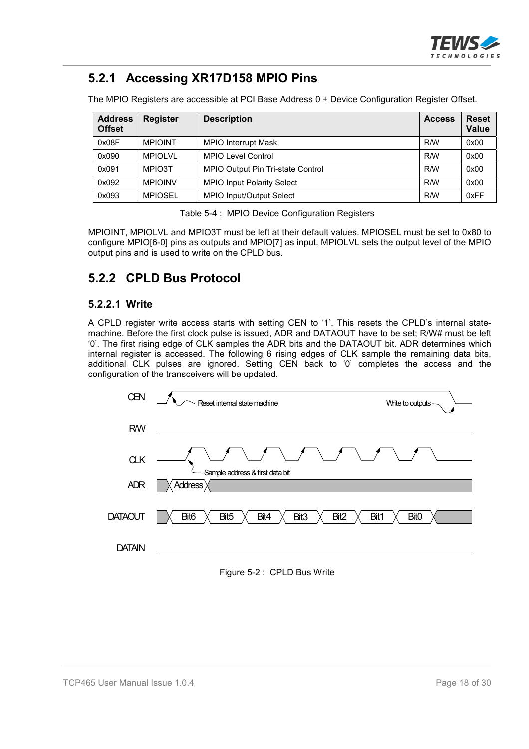

### **5.2.1 Accessing XR17D158 MPIO Pins**

The MPIO Registers are accessible at PCI Base Address 0 + Device Configuration Register Offset.

| <b>Address</b><br><b>Offset</b> | <b>Register</b> | <b>Description</b>                | <b>Access</b> | <b>Reset</b><br><b>Value</b> |
|---------------------------------|-----------------|-----------------------------------|---------------|------------------------------|
| 0x08F                           | <b>MPIOINT</b>  | <b>MPIO Interrupt Mask</b>        | R/W           | 0x00                         |
| 0x090                           | <b>MPIOLVL</b>  | <b>MPIO Level Control</b>         | R/W           | 0x00                         |
| 0x091                           | MPIO3T          | MPIO Output Pin Tri-state Control | R/W           | 0x00                         |
| 0x092                           | <b>MPIOINV</b>  | <b>MPIO Input Polarity Select</b> | R/W           | 0x00                         |
| 0x093                           | <b>MPIOSEL</b>  | MPIO Input/Output Select          | R/W           | 0xFF                         |

Table 5-4 : MPIO Device Configuration Registers

MPIOINT, MPIOLVL and MPIO3T must be left at their default values. MPIOSEL must be set to 0x80 to configure MPIO[6-0] pins as outputs and MPIO[7] as input. MPIOLVL sets the output level of the MPIO output pins and is used to write on the CPLD bus.

#### **5.2.2 CPLD Bus Protocol**

#### **5.2.2.1 Write**

A CPLD register write access starts with setting CEN to '1'. This resets the CPLD's internal statemachine. Before the first clock pulse is issued, ADR and DATAOUT have to be set; R/W# must be left '0'. The first rising edge of CLK samples the ADR bits and the DATAOUT bit. ADR determines which internal register is accessed. The following 6 rising edges of CLK sample the remaining data bits, additional CLK pulses are ignored. Setting CEN back to '0' completes the access and the configuration of the transceivers will be updated.



Figure 5-2 : CPLD Bus Write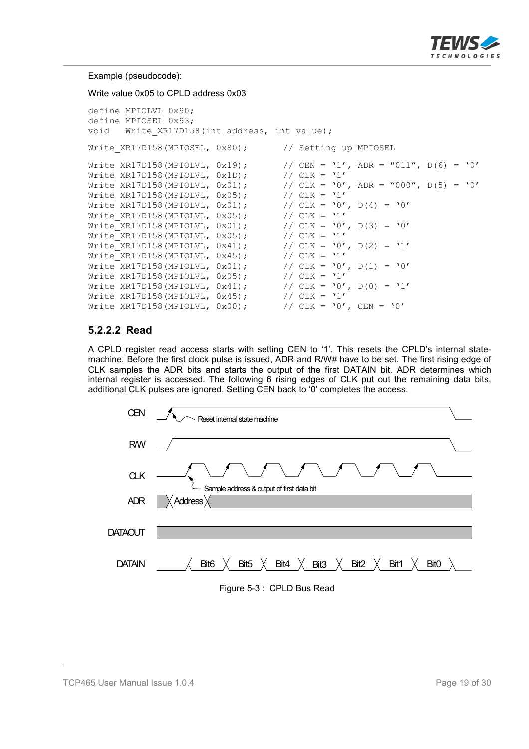

#### Example (pseudocode):

Write value 0x05 to CPLD address 0x03

```
define MPIOLVL 0x90;
define MPIOSEL 0x93;
void Write XR17D158(int address, int value);
Write XR17D158(MPIOSEL, 0x80); // Setting up MPIOSEL
Write_XR17D158(MPIOLVL, 0x19); // CEN = '1', ADR = "011", D(6) = '0'<br>Write XR17D158(MPIOLVL, 0x1D); // CLK = '1'
WriteXR17D158(MPIOLVL, 0x1D);
Write<sup>-</sup>XR17D158(MPIOLVL, 0x01); // CLK = '0', ADR = "000", D(5) = '0'<br>Write<sup>-</sup>XR17D158(MPIOLVL, 0x05); // CLK = '1'
Write_XR17D158(MPIOLVL, 0x05);
Write_XR17D158(MPIOLVL, 0x01); // CLK = '0', D(4) = '0'Write_XR17D158(MPIOLVL, 0x05); // CLK = '1'
Write_XR17D158(MPIOLVL, 0x01); // CLK = '0', D(3) = '0'
Write\_XR17D158(MPIOLVL, 0x05); // CLK = '1'
Write_XR17D158(MPIOLVL, 0x41); // CLK = '0', D(2) = '1'<br>Write XR17D158(MPIOLVL, 0x45); // CLK = '1'
Write XR17D158(MPIOLVL, 0x45);
Write_XR17D158(MPIOLVL, 0x01); // CLK = '0', D(1) = '0'<br>Write XR17D158(MPIOLVL, 0x05); // CLK = '1'
Write XR17D158 (MPIOLVL, 0x05);
Write_XR17D158(MPIOLVL, 0x41); // CLK = '0', D(0) = '1'<br>Write XR17D158(MPIOLVL, 0x45); // CLK = '1'
Write XR17D158 (MPIOLVL, 0x45);
Write_XR17D158(MPIOLVL, 0x00); // CLK = '0', CEN = '0'
```
#### **5.2.2.2 Read**

A CPLD register read access starts with setting CEN to '1'. This resets the CPLD's internal statemachine. Before the first clock pulse is issued, ADR and R/W# have to be set. The first rising edge of CLK samples the ADR bits and starts the output of the first DATAIN bit. ADR determines which internal register is accessed. The following 6 rising edges of CLK put out the remaining data bits, additional CLK pulses are ignored. Setting CEN back to '0' completes the access.



Figure 5-3 : CPLD Bus Read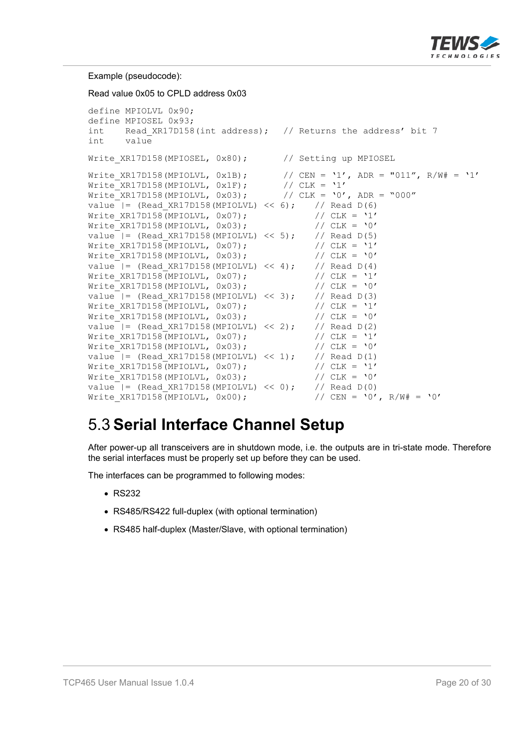

Example (pseudocode): Read value 0x05 to CPLD address 0x03 define MPIOLVL 0x90; define MPIOSEL 0x93; int Read XR17D158(int address); // Returns the address' bit 7 int value Write XR17D158(MPIOSEL, 0x80); // Setting up MPIOSEL Write\_XR17D158(MPIOLVL, 0x1B); // CEN = '1', ADR = "011", R/W# = '1'<br>Write XR17D158(MPIOLVL, 0x1F); // CLK = '1'  $Write\_XR17D158(MPIOLVL, 0x1F);$  //  $CLK = '1'$ Write\_XR17D158(MPIOLVL, 0x03); // CLK = '0', ADR = "000" value  $| =$  (Read XR17D158(MPIOLVL) << 6); // Read D(6) Value | (Neau\_ANi/Pive (Milesia)<br>Write\_XR17D158(MPIOLVL, 0x07); // CLK = '1'<br>Write XR17D158(MPIOLVL, 0x03); // CLK = '0'  $Write$  $XR17D158(MPIOLVL, 0x03);$ value  $| =$  (Read XR17D158(MPIOLVL) << 5); // Read D(5) Write XR17D158(MPIOLVL, 0x07);  $// CLK = '1'$ Write XR17D158(MPIOLVL,  $0x03$ ); // CLK = '0' value  $| =$  (Read XR17D158(MPIOLVL) << 4); // Read D(4) Write\_XR17D158(MPIOLVL, 0x07);  $\begin{array}{ccc} 0 & \text{with} & \text{with} & \text{with} & \text{with} & \text{with} & \text{with} & \text{with} & \text{with} & \text{with} & \text{with} & \text{with} & \text{with} & \text{with} & \text{with} & \text{with} & \text{with} & \text{with} & \text{with} & \text{with} & \text{with} & \text{with} & \text{with} & \text{with} & \text{with} & \text{with} & \text{with} & \text{with} & \text{with} & \text{with} & \text{with}$  $Write$  XR17D158(MPIOLVL, 0x03); value  $|$  = (Read\_XR17D158(MPIOLVL) << 3); // Read D(3)<br>Write XR17D158(MPIOLVL, 0x07); // CLK = '1' Write\_XR17D158(MPIOLVL,  $0x07$ ); // CLK = '1'<br>Write\_XR17D158(MPIOLVL,  $0x03$ ); // CLK = '0' Write XR17D158 (MPIOLVL,  $0x03$ ); value  $|=$  (Read XR17D158(MPIOLVL) << 2); // Read D(2) Write XR17D158(MPIOLVL, 0x07);  $// CLK = '1'$ Write XR17D158(MPIOLVL,  $0 \times 03$ );  $// CLK = '0'$ value  $| =$  (Read XR17D158(MPIOLVL) << 1); // Read D(1) Write XR17D158(MPIOLVL, 0x07); // CLK = '1' Write XR17D158(MPIOLVL,  $0x03$ ); // CLK = '0' value  $| =$  (Read XR17D158(MPIOLVL) << 0); // Read D(0) Write XR17D158(MPIOLVL, 0x00);  $//$  CEN = '0', R/W# = '0'

# 5.3 **Serial Interface Channel Setup**

After power-up all transceivers are in shutdown mode, i.e. the outputs are in tri-state mode. Therefore the serial interfaces must be properly set up before they can be used.

The interfaces can be programmed to following modes:

- $\cdot$  RS232
- RS485/RS422 full-duplex (with optional termination)
- RS485 half-duplex (Master/Slave, with optional termination)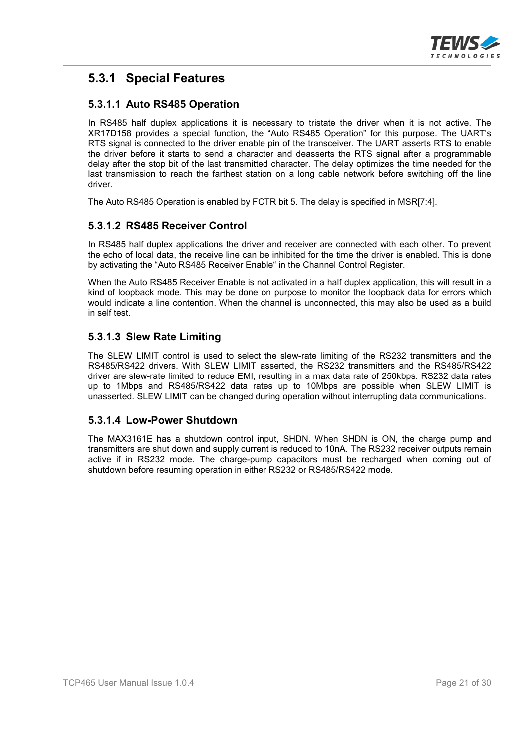

### **5.3.1 Special Features**

#### **5.3.1.1 Auto RS485 Operation**

In RS485 half duplex applications it is necessary to tristate the driver when it is not active. The XR17D158 provides a special function, the "Auto RS485 Operation" for this purpose. The UART's RTS signal is connected to the driver enable pin of the transceiver. The UART asserts RTS to enable the driver before it starts to send a character and deasserts the RTS signal after a programmable delay after the stop bit of the last transmitted character. The delay optimizes the time needed for the last transmission to reach the farthest station on a long cable network before switching off the line driver.

The Auto RS485 Operation is enabled by FCTR bit 5. The delay is specified in MSR[7:4].

#### **5.3.1.2 RS485 Receiver Control**

In RS485 half duplex applications the driver and receiver are connected with each other. To prevent the echo of local data, the receive line can be inhibited for the time the driver is enabled. This is done by activating the "Auto RS485 Receiver Enable" in the Channel Control Register.

When the Auto RS485 Receiver Enable is not activated in a half duplex application, this will result in a kind of loopback mode. This may be done on purpose to monitor the loopback data for errors which would indicate a line contention. When the channel is unconnected, this may also be used as a build in self test.

#### **5.3.1.3 Slew Rate Limiting**

The SLEW LIMIT control is used to select the slew-rate limiting of the RS232 transmitters and the RS485/RS422 drivers. With SLEW LIMIT asserted, the RS232 transmitters and the RS485/RS422 driver are slew-rate limited to reduce EMI, resulting in a max data rate of 250kbps. RS232 data rates up to 1Mbps and RS485/RS422 data rates up to 10Mbps are possible when SLEW LIMIT is unasserted. SLEW LIMIT can be changed during operation without interrupting data communications.

#### **5.3.1.4 Low-Power Shutdown**

The MAX3161E has a shutdown control input, SHDN. When SHDN is ON, the charge pump and transmitters are shut down and supply current is reduced to 10nA. The RS232 receiver outputs remain active if in RS232 mode. The charge-pump capacitors must be recharged when coming out of shutdown before resuming operation in either RS232 or RS485/RS422 mode.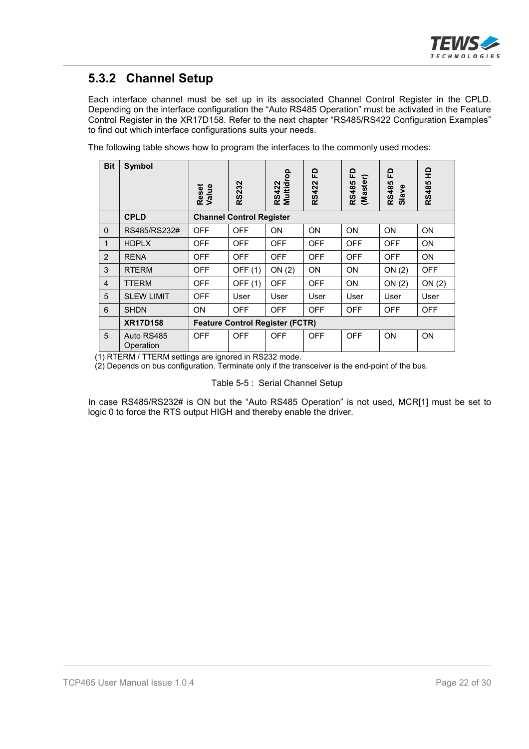

### **5.3.2 Channel Setup**

Each interface channel must be set up in its associated Channel Control Register in the CPLD. Depending on the interface configuration the "Auto RS485 Operation" must be activated in the Feature Control Register in the XR17D158. Refer to the next chapter "RS485/RS422 Configuration Examples" to find out which interface configurations suits your needs.

The following table shows how to program the interfaces to the commonly used modes:

| <b>Bit</b>     | <b>Symbol</b>           | Reset<br>Value | <b>RS232</b>                           | Multidrop<br><b>RS422</b> | 요<br><b>RS422</b> | 묘<br>(Master)<br><b>RS485</b> | 요<br>RS485<br>Slave | 읖<br><b>RS485</b> |
|----------------|-------------------------|----------------|----------------------------------------|---------------------------|-------------------|-------------------------------|---------------------|-------------------|
|                | <b>CPLD</b>             |                | <b>Channel Control Register</b>        |                           |                   |                               |                     |                   |
| $\Omega$       | RS485/RS232#            | <b>OFF</b>     | <b>OFF</b>                             | <b>ON</b>                 | <b>ON</b>         | ON                            | <b>ON</b>           | ON                |
| $\mathbf{1}$   | <b>HDPLX</b>            | <b>OFF</b>     | <b>OFF</b>                             | <b>OFF</b>                | <b>OFF</b>        | <b>OFF</b>                    | <b>OFF</b>          | ON                |
| 2              | <b>RENA</b>             | <b>OFF</b>     | <b>OFF</b>                             | <b>OFF</b>                | <b>OFF</b>        | <b>OFF</b>                    | <b>OFF</b>          | ON                |
| 3              | <b>RTERM</b>            | <b>OFF</b>     | OFF (1)                                | ON(2)                     | ON                | ON                            | ON(2)               | <b>OFF</b>        |
| $\overline{4}$ | <b>TTERM</b>            | <b>OFF</b>     | OFF (1)                                | <b>OFF</b>                | <b>OFF</b>        | ON                            | ON(2)               | ON(2)             |
| 5              | <b>SLEW LIMIT</b>       | <b>OFF</b>     | User                                   | User                      | User              | User                          | User                | User              |
| 6              | <b>SHDN</b>             | <b>ON</b>      | <b>OFF</b>                             | <b>OFF</b>                | <b>OFF</b>        | <b>OFF</b>                    | <b>OFF</b>          | <b>OFF</b>        |
|                | <b>XR17D158</b>         |                | <b>Feature Control Register (FCTR)</b> |                           |                   |                               |                     |                   |
| 5              | Auto RS485<br>Operation | <b>OFF</b>     | <b>OFF</b>                             | <b>OFF</b>                | <b>OFF</b>        | <b>OFF</b>                    | <b>ON</b>           | ON                |

(1) RTERM / TTERM settings are ignored in RS232 mode.

(2) Depends on bus configuration. Terminate only if the transceiver is the end-point of the bus.

Table 5-5 : Serial Channel Setup

In case RS485/RS232# is ON but the "Auto RS485 Operation" is not used, MCR[1] must be set to logic 0 to force the RTS output HIGH and thereby enable the driver.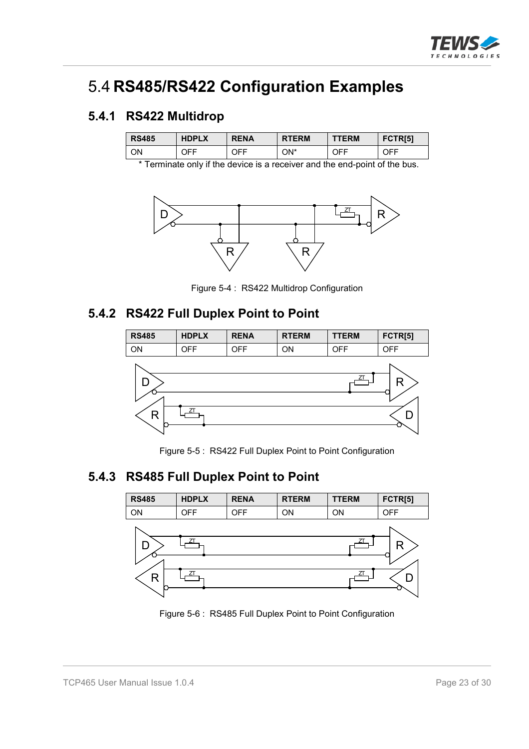

## 5.4 **RS485/RS422 Configuration Examples**

#### **5.4.1 RS422 Multidrop**

| <b>RS485</b> | <b>HDPLX</b> | <b>RENA</b> | <b>RTERM</b> | <b>TERM</b> | FCTR <sub>[5]</sub> |
|--------------|--------------|-------------|--------------|-------------|---------------------|
| ΟN           | JFF.         | JFF.        | ON*          | OFF         | JFF.                |

\* Terminate only if the device is a receiver and the end-point of the bus.



Figure 5-4 : RS422 Multidrop Configuration

#### **5.4.2 RS422 Full Duplex Point to Point**



Figure 5-5 : RS422 Full Duplex Point to Point Configuration

### **5.4.3 RS485 Full Duplex Point to Point**



Figure 5-6 : RS485 Full Duplex Point to Point Configuration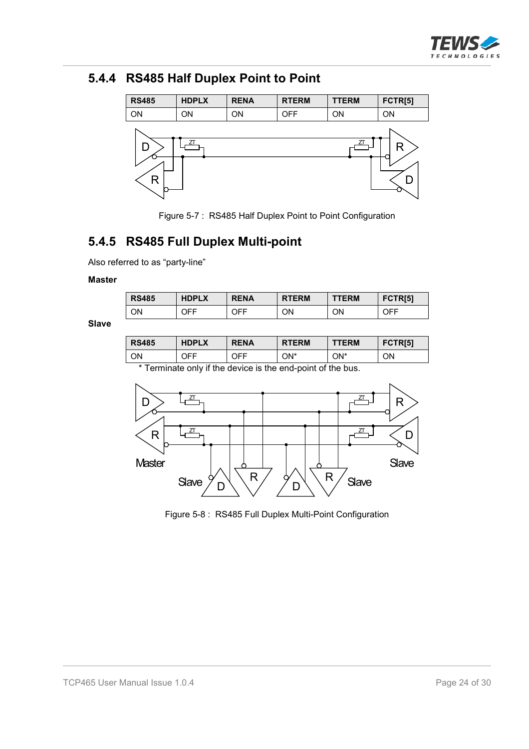

### **5.4.4 RS485 Half Duplex Point to Point**



Figure 5-7 : RS485 Half Duplex Point to Point Configuration

### **5.4.5 RS485 Full Duplex Multi-point**

Also referred to as "party-line"

#### **Master**

| <b>RS485</b> | <b>HDPLX</b> | <b>RENA</b> | <b>RTERM</b> | <b>TTERM</b> | FCTR <sub>[5]</sub> |
|--------------|--------------|-------------|--------------|--------------|---------------------|
| OΝ           | JFF          | OFF         | ΟN           | ΟN           | OFF                 |

**Slave**

| <b>RS485</b>                                                                                                                                                                                                                    | <b>HDPLX</b> | <b>RENA</b> | <b>RTERM</b> | <b>TTERM</b> | FCTR <sub>[5]</sub> |  |
|---------------------------------------------------------------------------------------------------------------------------------------------------------------------------------------------------------------------------------|--------------|-------------|--------------|--------------|---------------------|--|
| ON                                                                                                                                                                                                                              | OFF          | OFF         | ON*          | ON*          | ON                  |  |
| $\pm$ $\pm$ . The contract of the contract of the contract of the contract of the contract of the contract of the contract of the contract of the contract of the contract of the contract of the contract of the contract of t |              |             |              |              |                     |  |

\* Terminate only if the device is the end-point of the bus.



Figure 5-8 : RS485 Full Duplex Multi-Point Configuration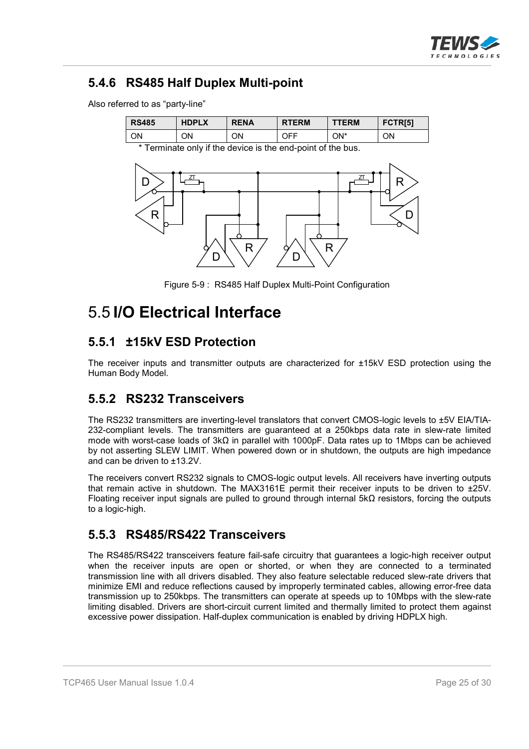

### **5.4.6 RS485 Half Duplex Multi-point**

Also referred to as "party-line"

| <b>RS485</b> | <b>HDPLX</b> | <b>RENA</b> | <b>RTERM</b> | <b>TTERM</b> | FCTR[5] |
|--------------|--------------|-------------|--------------|--------------|---------|
| ΟN           | ΟN           | ΟN          | OFF          | ON*          | ΟN      |

\* Terminate only if the device is the end-point of the bus.



Figure 5-9 : RS485 Half Duplex Multi-Point Configuration

## 5.5 **I/O Electrical Interface**

#### **5.5.1 ±15kV ESD Protection**

The receiver inputs and transmitter outputs are characterized for ±15kV ESD protection using the Human Body Model.

#### **5.5.2 RS232 Transceivers**

The RS232 transmitters are inverting-level translators that convert CMOS-logic levels to ±5V EIA/TIA-232-compliant levels. The transmitters are guaranteed at a 250kbps data rate in slew-rate limited mode with worst-case loads of  $3k\Omega$  in parallel with 1000pF. Data rates up to 1Mbps can be achieved by not asserting SLEW LIMIT. When powered down or in shutdown, the outputs are high impedance and can be driven to ±13.2V.

The receivers convert RS232 signals to CMOS-logic output levels. All receivers have inverting outputs that remain active in shutdown. The MAX3161E permit their receiver inputs to be driven to ±25V. Floating receiver input signals are pulled to ground through internal  $5k\Omega$  resistors, forcing the outputs to a logic-high.

#### **5.5.3 RS485/RS422 Transceivers**

The RS485/RS422 transceivers feature fail-safe circuitry that guarantees a logic-high receiver output when the receiver inputs are open or shorted, or when they are connected to a terminated transmission line with all drivers disabled. They also feature selectable reduced slew-rate drivers that minimize EMI and reduce reflections caused by improperly terminated cables, allowing error-free data transmission up to 250kbps. The transmitters can operate at speeds up to 10Mbps with the slew-rate limiting disabled. Drivers are short-circuit current limited and thermally limited to protect them against excessive power dissipation. Half-duplex communication is enabled by driving HDPLX high.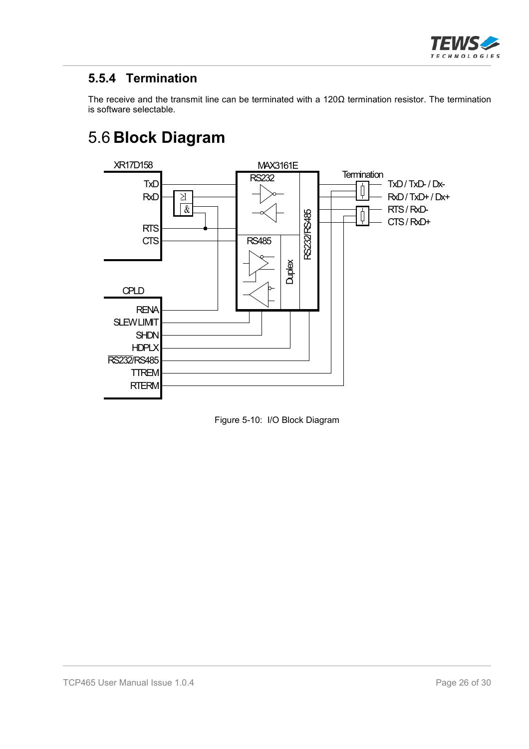

### **5.5.4 Termination**

The receive and the transmit line can be terminated with a  $120\Omega$  termination resistor. The termination is software selectable.

# 5.6 **Block Diagram**



Figure 5-10: I/O Block Diagram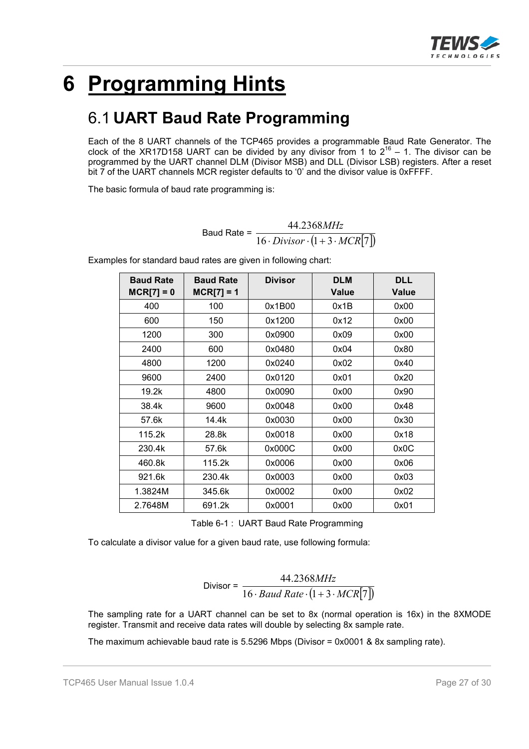

# **6 Programming Hints**

## 6.1 **UART Baud Rate Programming**

Each of the 8 UART channels of the TCP465 provides a programmable Baud Rate Generator. The clock of the XR17D158 UART can be divided by any divisor from 1 to  $2^{16}$  – 1. The divisor can be programmed by the UART channel DLM (Divisor MSB) and DLL (Divisor LSB) registers. After a reset bit 7 of the UART channels MCR register defaults to '0' and the divisor value is 0xFFFF.

The basic formula of baud rate programming is:

Baud Rate =  $\frac{16 \cdot \text{Division} \cdot (1 + 3 \cdot \text{MCR}[7])}{16 \cdot \text{Division} \cdot (1 + 3 \cdot \text{MCR}[7])}$ 44.2368  $Divisor \cdot (1 + 3 \cdot MCR)$ *MHz*  $\cdot Divisor\cdot(1+3\cdot$ 

| <b>Baud Rate</b><br>$MCR[7] = 0$ | <b>Baud Rate</b><br>$MCR[7] = 1$ | <b>Divisor</b> | <b>DLM</b><br><b>Value</b> | <b>DLL</b><br><b>Value</b> |
|----------------------------------|----------------------------------|----------------|----------------------------|----------------------------|
| 400                              | 100                              | 0x1B00         | 0x1B                       | 0x00                       |
| 600                              | 150                              | 0x1200         | 0x12                       | 0x00                       |
| 1200                             | 300                              | 0x0900         | 0x09                       | 0x00                       |
| 2400                             | 600                              | 0x0480         | 0x04                       | 0x80                       |
| 4800                             | 1200                             | 0x0240         | 0x02                       | 0x40                       |
| 9600                             | 2400                             | 0x0120         | 0x01                       | 0x20                       |
| 19.2k                            | 4800                             | 0x0090         | 0x00                       | 0x90                       |
| 38.4k                            | 9600                             | 0x0048         | 0x00                       | 0x48                       |
| 57.6k                            | 14.4k                            | 0x0030         | 0x00                       | 0x30                       |
| 115.2k                           | 28.8k                            | 0x0018         | 0x00                       | 0x18                       |
| 230.4k                           | 57.6k                            | 0x000C         | 0x00                       | 0x0C                       |
| 460.8k                           | 115.2k                           | 0x0006         | 0x00                       | 0x06                       |
| 921.6k                           | 230.4k                           | 0x0003         | 0x00                       | 0x03                       |
| 1.3824M                          | 345.6k                           | 0x0002         | 0x00                       | 0x02                       |
| 2.7648M                          | 691.2k                           | 0x0001         | 0x00                       | 0x01                       |

Examples for standard baud rates are given in following chart:

Table 6-1 : UART Baud Rate Programming

To calculate a divisor value for a given baud rate, use following formula:

$$
Divisor = \frac{44.2368MHz}{16 \cdot Baud Rate \cdot (1 + 3 \cdot MCR[7])}
$$

The sampling rate for a UART channel can be set to 8x (normal operation is 16x) in the 8XMODE register. Transmit and receive data rates will double by selecting 8x sample rate.

The maximum achievable baud rate is 5.5296 Mbps (Divisor = 0x0001 & 8x sampling rate).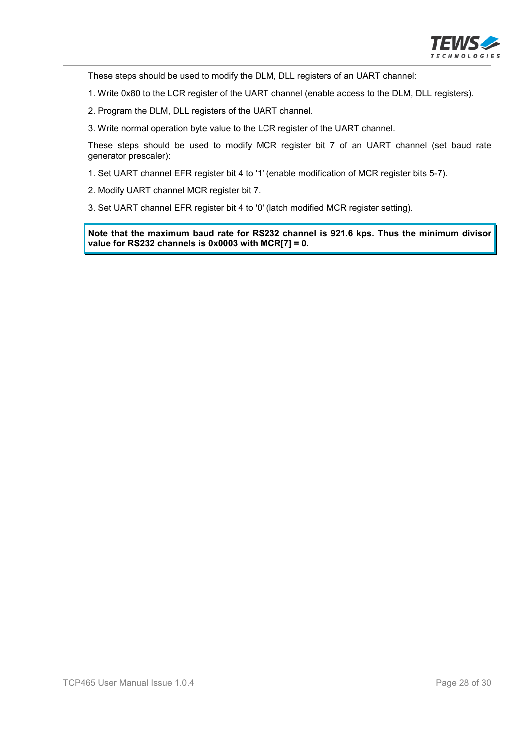

These steps should be used to modify the DLM, DLL registers of an UART channel:

1. Write 0x80 to the LCR register of the UART channel (enable access to the DLM, DLL registers).

2. Program the DLM, DLL registers of the UART channel.

3. Write normal operation byte value to the LCR register of the UART channel.

These steps should be used to modify MCR register bit 7 of an UART channel (set baud rate generator prescaler):

1. Set UART channel EFR register bit 4 to '1' (enable modification of MCR register bits 5-7).

2. Modify UART channel MCR register bit 7.

3. Set UART channel EFR register bit 4 to '0' (latch modified MCR register setting).

**Note that the maximum baud rate for RS232 channel is 921.6 kps. Thus the minimum divisor value for RS232 channels is 0x0003 with MCR[7] = 0.**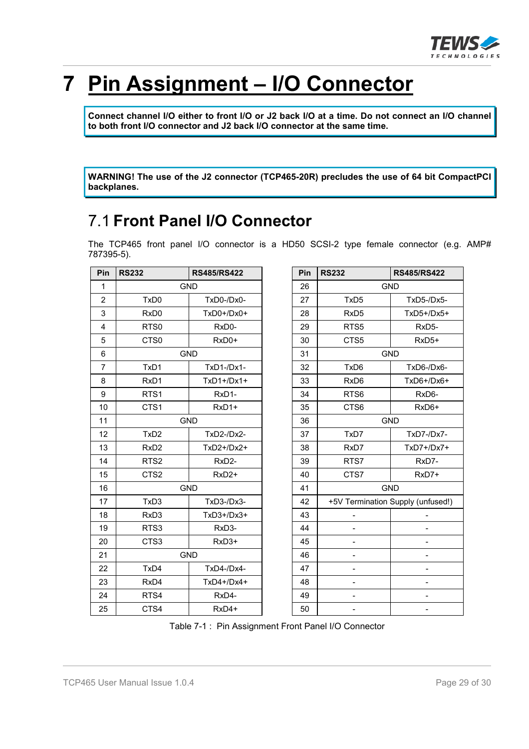

# **7 Pin Assignment – I/O Connector**

**Connect channel I/O either to front I/O or J2 back I/O at a time. Do not connect an I/O channel to both front I/O connector and J2 back I/O connector at the same time.**

**WARNING! The use of the J2 connector (TCP465-20R) precludes the use of 64 bit CompactPCI backplanes.**

## 7.1 **Front Panel I/O Connector**

The TCP465 front panel I/O connector is a HD50 SCSI-2 type female connector (e.g. AMP# 787395-5).

| Pin            | <b>RS232</b>     | <b>RS485/RS422</b> |
|----------------|------------------|--------------------|
| $\mathbf{1}$   |                  | <b>GND</b>         |
| $\overline{2}$ | TxD <sub>0</sub> | TxD0-/Dx0-         |
| 3              | RxD <sub>0</sub> | $TxD0+/Dx0+$       |
| 4              | RTS0             | RxD0-              |
| 5              | CTS0             | RxD0+              |
| 6              |                  | <b>GND</b>         |
| $\overline{7}$ | TxD1             | TxD1-/Dx1-         |
| 8              | RxD1             | $TxD1+/Dx1+$       |
| 9              | RTS <sub>1</sub> | RxD1-              |
| 10             | CTS1             | RxD1+              |
| 11             |                  | <b>GND</b>         |
| 12             | TxD <sub>2</sub> | TxD2-/Dx2-         |
| 13             | RxD <sub>2</sub> | TxD2+/Dx2+         |
| 14             | RTS <sub>2</sub> | RxD2-              |
| 15             | CTS2             | RxD <sub>2+</sub>  |
| 16             |                  | <b>GND</b>         |
| 17             | TxD3             | $TxD3-/Dx3-$       |
| 18             | RxD <sub>3</sub> | $TxD3+/Dx3+$       |
| 19             | RTS3             | RxD3-              |
| 20             | CTS3             | RxD3+              |
| 21             |                  | <b>GND</b>         |
| 22             | TxD4             | TxD4-/Dx4-         |
| 23             | RxD4             | $TxD4+/Dx4+$       |
| 24             | RTS4             | RxD4-              |
| 25             | CTS4             | RxD4+              |

| Pin | <b>RS232</b><br><b>RS485/RS422</b> |                                   |  |  |  |
|-----|------------------------------------|-----------------------------------|--|--|--|
| 26  | <b>GND</b>                         |                                   |  |  |  |
| 27  | TxD <sub>5</sub>                   | TxD5-/Dx5-                        |  |  |  |
| 28  | RxD <sub>5</sub>                   | TxD5+/Dx5+                        |  |  |  |
| 29  | RTS <sub>5</sub>                   | RxD <sub>5</sub> -                |  |  |  |
| 30  | CTS5                               | RxD <sub>5+</sub>                 |  |  |  |
| 31  | <b>GND</b>                         |                                   |  |  |  |
| 32  | TxD6                               | TxD6-/Dx6-                        |  |  |  |
| 33  | RxD <sub>6</sub>                   | TxD6+/Dx6+                        |  |  |  |
| 34  | RTS <sub>6</sub>                   | RxD6-                             |  |  |  |
| 35  | CTS6                               | RxD6+                             |  |  |  |
| 36  | <b>GND</b>                         |                                   |  |  |  |
| 37  | TxD7                               | TxD7-/Dx7-                        |  |  |  |
| 38  | RxD7                               | TxD7+/Dx7+                        |  |  |  |
| 39  | RTS7                               | RxD7-                             |  |  |  |
| 40  | CTS7                               | RxD7+                             |  |  |  |
| 41  |                                    | <b>GND</b>                        |  |  |  |
| 42  |                                    | +5V Termination Supply (unfused!) |  |  |  |
| 43  |                                    |                                   |  |  |  |
| 44  |                                    |                                   |  |  |  |
| 45  |                                    |                                   |  |  |  |
| 46  |                                    |                                   |  |  |  |
| 47  |                                    |                                   |  |  |  |
| 48  |                                    |                                   |  |  |  |
| 49  |                                    |                                   |  |  |  |
| 50  |                                    |                                   |  |  |  |

Table 7-1 : Pin Assignment Front Panel I/O Connector